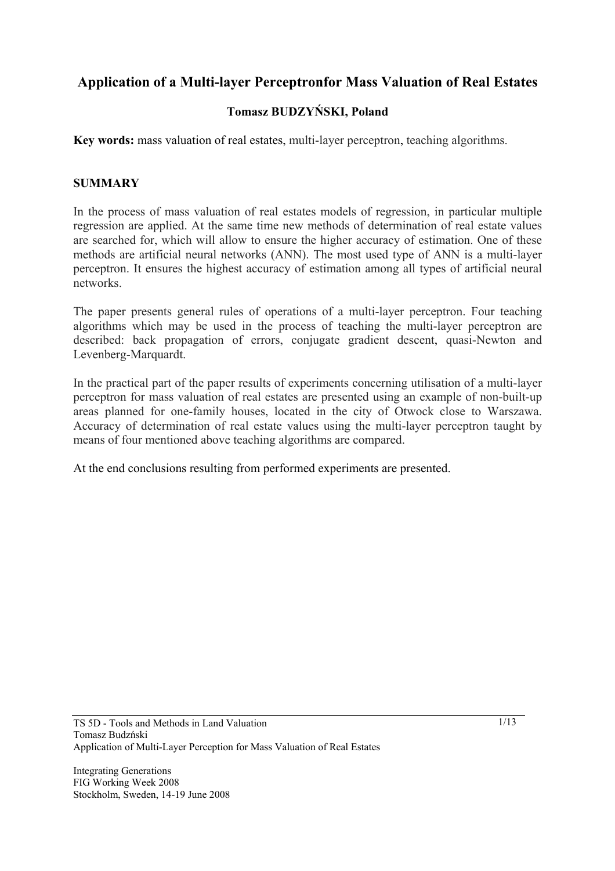# **Application of a Multi-layer Perceptronfor Mass Valuation of Real Estates**

# **Tomasz BUDZYŃSKI, Poland**

**Key words:** mass valuation of real estates, multi-layer perceptron, teaching algorithms.

#### **SUMMARY**

In the process of mass valuation of real estates models of regression, in particular multiple regression are applied. At the same time new methods of determination of real estate values are searched for, which will allow to ensure the higher accuracy of estimation. One of these methods are artificial neural networks (ANN). The most used type of ANN is a multi-layer perceptron. It ensures the highest accuracy of estimation among all types of artificial neural networks.

The paper presents general rules of operations of a multi-layer perceptron. Four teaching algorithms which may be used in the process of teaching the multi-layer perceptron are described: back propagation of errors, conjugate gradient descent, quasi-Newton and Levenberg-Marquardt.

In the practical part of the paper results of experiments concerning utilisation of a multi-layer perceptron for mass valuation of real estates are presented using an example of non-built-up areas planned for one-family houses, located in the city of Otwock close to Warszawa. Accuracy of determination of real estate values using the multi-layer perceptron taught by means of four mentioned above teaching algorithms are compared.

At the end conclusions resulting from performed experiments are presented.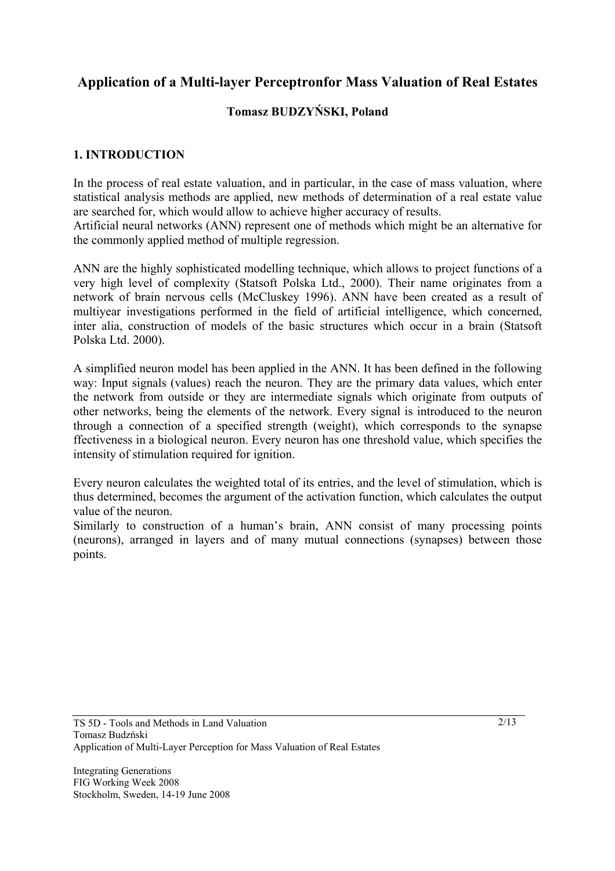# **Application of a Multi-layer Perceptronfor Mass Valuation of Real Estates**

# **Tomasz BUDZYŃSKI, Poland**

# **1. INTRODUCTION**

In the process of real estate valuation, and in particular, in the case of mass valuation, where statistical analysis methods are applied, new methods of determination of a real estate value are searched for, which would allow to achieve higher accuracy of results.

Artificial neural networks (ANN) represent one of methods which might be an alternative for the commonly applied method of multiple regression.

ANN are the highly sophisticated modelling technique, which allows to project functions of a very high level of complexity (Statsoft Polska Ltd., 2000). Their name originates from a network of brain nervous cells (McCluskey 1996). ANN have been created as a result of multiyear investigations performed in the field of artificial intelligence, which concerned, inter alia, construction of models of the basic structures which occur in a brain (Statsoft Polska Ltd. 2000).

A simplified neuron model has been applied in the ANN. It has been defined in the following way: Input signals (values) reach the neuron. They are the primary data values, which enter the network from outside or they are intermediate signals which originate from outputs of other networks, being the elements of the network. Every signal is introduced to the neuron through a connection of a specified strength (weight), which corresponds to the synapse ffectiveness in a biological neuron. Every neuron has one threshold value, which specifies the intensity of stimulation required for ignition.

Every neuron calculates the weighted total of its entries, and the level of stimulation, which is thus determined, becomes the argument of the activation function, which calculates the output value of the neuron.

Similarly to construction of a human's brain, ANN consist of many processing points (neurons), arranged in layers and of many mutual connections (synapses) between those points.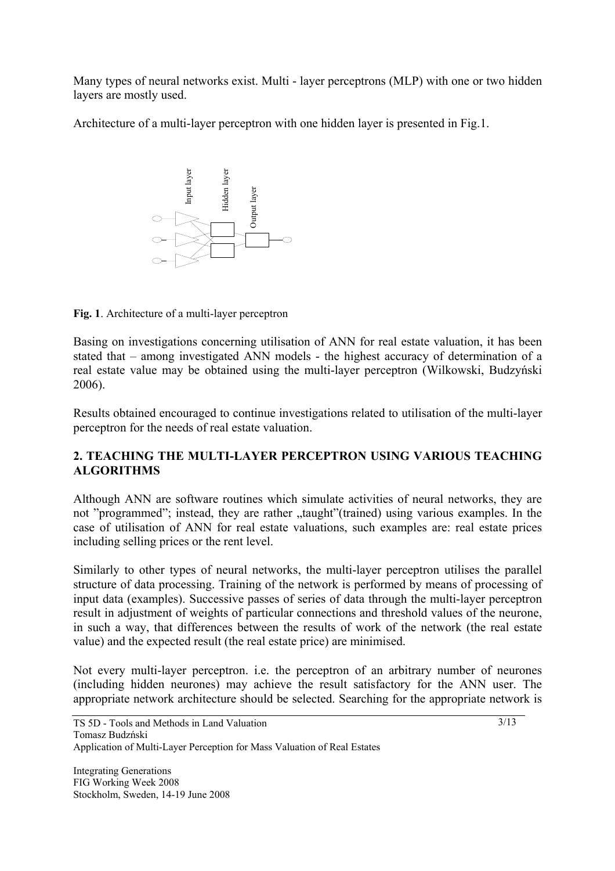Many types of neural networks exist. Multi - layer perceptrons (MLP) with one or two hidden layers are mostly used.

Architecture of a multi-layer perceptron with one hidden layer is presented in Fig.1.



**Fig. 1**. Architecture of a multi-layer perceptron

Basing on investigations concerning utilisation of ANN for real estate valuation, it has been stated that – among investigated ANN models - the highest accuracy of determination of a real estate value may be obtained using the multi-layer perceptron (Wilkowski, Budzyński 2006).

Results obtained encouraged to continue investigations related to utilisation of the multi-layer perceptron for the needs of real estate valuation.

# **2. TEACHING THE MULTI-LAYER PERCEPTRON USING VARIOUS TEACHING ALGORITHMS**

Although ANN are software routines which simulate activities of neural networks, they are not "programmed"; instead, they are rather "taught" (trained) using various examples. In the case of utilisation of ANN for real estate valuations, such examples are: real estate prices including selling prices or the rent level.

Similarly to other types of neural networks, the multi-layer perceptron utilises the parallel structure of data processing. Training of the network is performed by means of processing of input data (examples). Successive passes of series of data through the multi-layer perceptron result in adjustment of weights of particular connections and threshold values of the neurone, in such a way, that differences between the results of work of the network (the real estate value) and the expected result (the real estate price) are minimised. **Example 19** and the searching this should be selected contained that the state of data propriate neuron (Wilkowski, Budzyński architecture of a model be selected. Searching the model state values of determination of a re

Not every multi-layer perceptron. i.e. the perceptron of an arbitrary number of neurones (including hidden neurones) may achieve the result satisfactory for the ANN user. The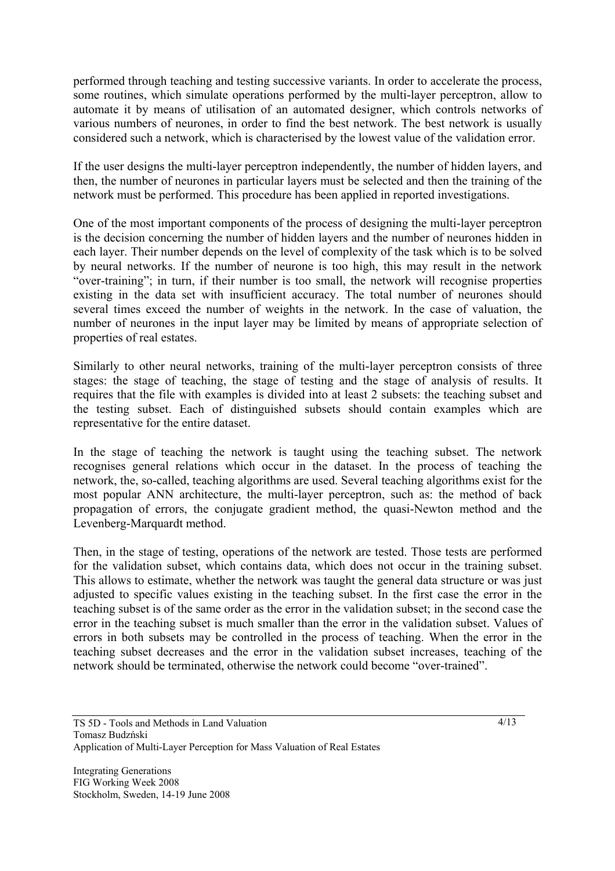performed through teaching and testing successive variants. In order to accelerate the process, some routines, which simulate operations performed by the multi-layer perceptron, allow to automate it by means of utilisation of an automated designer, which controls networks of various numbers of neurones, in order to find the best network. The best network is usually considered such a network, which is characterised by the lowest value of the validation error.

If the user designs the multi-layer perceptron independently, the number of hidden layers, and then, the number of neurones in particular layers must be selected and then the training of the network must be performed. This procedure has been applied in reported investigations.

One of the most important components of the process of designing the multi-layer perceptron is the decision concerning the number of hidden layers and the number of neurones hidden in each layer. Their number depends on the level of complexity of the task which is to be solved by neural networks. If the number of neurone is too high, this may result in the network "over-training"; in turn, if their number is too small, the network will recognise properties existing in the data set with insufficient accuracy. The total number of neurones should several times exceed the number of weights in the network. In the case of valuation, the number of neurones in the input layer may be limited by means of appropriate selection of properties of real estates.

Similarly to other neural networks, training of the multi-layer perceptron consists of three stages: the stage of teaching, the stage of testing and the stage of analysis of results. It requires that the file with examples is divided into at least 2 subsets: the teaching subset and the testing subset. Each of distinguished subsets should contain examples which are representative for the entire dataset.

In the stage of teaching the network is taught using the teaching subset. The network recognises general relations which occur in the dataset. In the process of teaching the network, the, so-called, teaching algorithms are used. Several teaching algorithms exist for the most popular ANN architecture, the multi-layer perceptron, such as: the method of back propagation of errors, the conjugate gradient method, the quasi-Newton method and the Levenberg-Marquardt method.

Then, in the stage of testing, operations of the network are tested. Those tests are performed for the validation subset, which contains data, which does not occur in the training subset. This allows to estimate, whether the network was taught the general data structure or was just adjusted to specific values existing in the teaching subset. In the first case the error in the teaching subset is of the same order as the error in the validation subset; in the second case the error in the teaching subset is much smaller than the error in the validation subset. Values of errors in both subsets may be controlled in the process of teaching. When the error in the teaching subset decreases and the error in the validation subset increases, teaching of the network should be terminated, otherwise the network could become "over-trained".

TS 5D - Tools and Methods in Land Valuation Tomasz Budzński Application of Multi-Layer Perception for Mass Valuation of Real Estates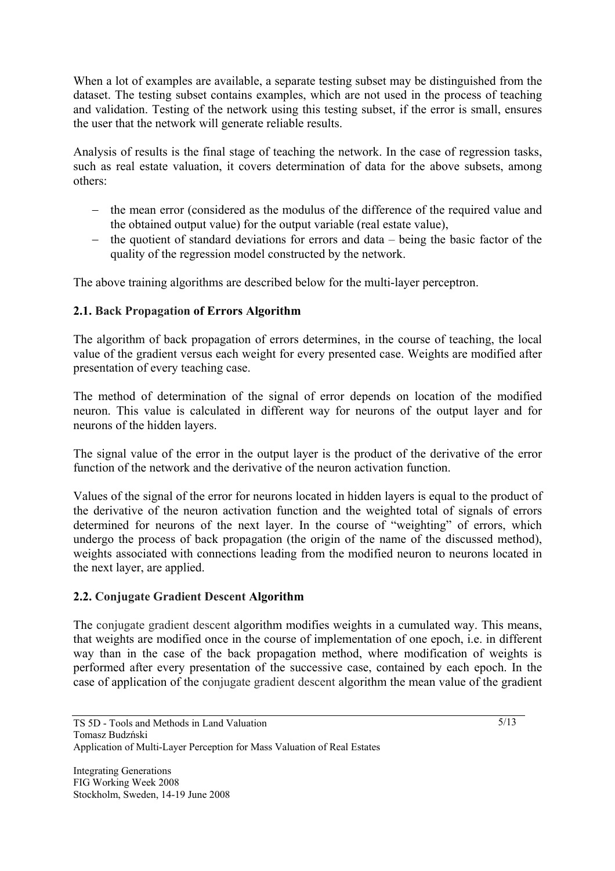When a lot of examples are available, a separate testing subset may be distinguished from the dataset. The testing subset contains examples, which are not used in the process of teaching and validation. Testing of the network using this testing subset, if the error is small, ensures the user that the network will generate reliable results.

Analysis of results is the final stage of teaching the network. In the case of regression tasks, such as real estate valuation, it covers determination of data for the above subsets, among others:

- − the mean error (considered as the modulus of the difference of the required value and the obtained output value) for the output variable (real estate value),
- − the quotient of standard deviations for errors and data being the basic factor of the quality of the regression model constructed by the network.

The above training algorithms are described below for the multi-layer perceptron.

# **2.1. Back Propagation of Errors Algorithm**

The algorithm of back propagation of errors determines, in the course of teaching, the local value of the gradient versus each weight for every presented case. Weights are modified after presentation of every teaching case.

The method of determination of the signal of error depends on location of the modified neuron. This value is calculated in different way for neurons of the output layer and for neurons of the hidden layers.

The signal value of the error in the output layer is the product of the derivative of the error function of the network and the derivative of the neuron activation function.

Values of the signal of the error for neurons located in hidden layers is equal to the product of the derivative of the neuron activation function and the weighted total of signals of errors determined for neurons of the next layer. In the course of "weighting" of errors, which undergo the process of back propagation (the origin of the name of the discussed method), weights associated with connections leading from the modified neuron to neurons located in the next layer, are applied.

#### **2.2. Conjugate Gradient Descent Algorithm**

The conjugate gradient descent algorithm modifies weights in a cumulated way. This means, that weights are modified once in the course of implementation of one epoch, i.e. in different way than in the case of the back propagation method, where modification of weights is performed after every presentation of the successive case, contained by each epoch. In the case of application of the conjugate gradient descent algorithm the mean value of the gradient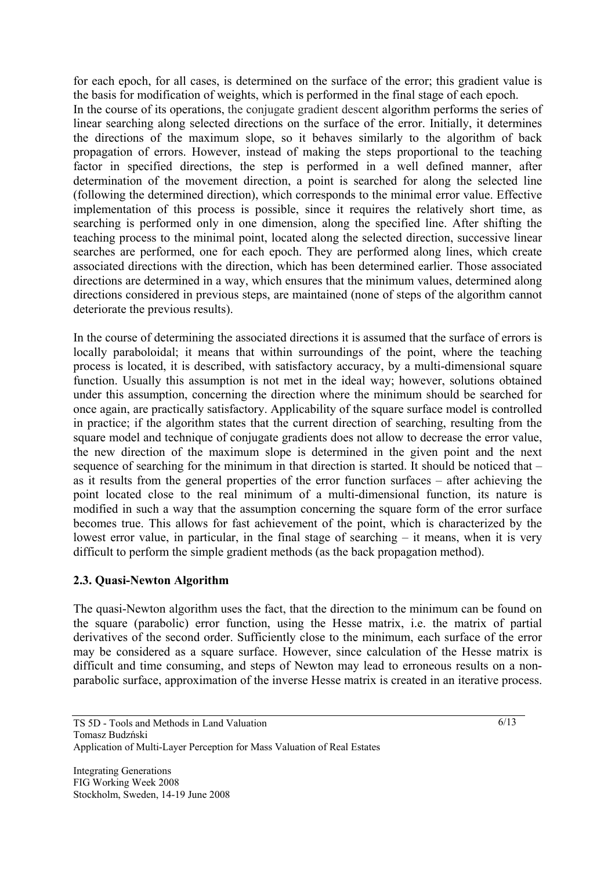for each epoch, for all cases, is determined on the surface of the error; this gradient value is the basis for modification of weights, which is performed in the final stage of each epoch.

In the course of its operations, the conjugate gradient descent algorithm performs the series of linear searching along selected directions on the surface of the error. Initially, it determines the directions of the maximum slope, so it behaves similarly to the algorithm of back propagation of errors. However, instead of making the steps proportional to the teaching factor in specified directions, the step is performed in a well defined manner, after determination of the movement direction, a point is searched for along the selected line (following the determined direction), which corresponds to the minimal error value. Effective implementation of this process is possible, since it requires the relatively short time, as searching is performed only in one dimension, along the specified line. After shifting the teaching process to the minimal point, located along the selected direction, successive linear searches are performed, one for each epoch. They are performed along lines, which create associated directions with the direction, which has been determined earlier. Those associated directions are determined in a way, which ensures that the minimum values, determined along directions considered in previous steps, are maintained (none of steps of the algorithm cannot deteriorate the previous results).

In the course of determining the associated directions it is assumed that the surface of errors is locally paraboloidal; it means that within surroundings of the point, where the teaching process is located, it is described, with satisfactory accuracy, by a multi-dimensional square function. Usually this assumption is not met in the ideal way; however, solutions obtained under this assumption, concerning the direction where the minimum should be searched for once again, are practically satisfactory. Applicability of the square surface model is controlled in practice; if the algorithm states that the current direction of searching, resulting from the square model and technique of conjugate gradients does not allow to decrease the error value, the new direction of the maximum slope is determined in the given point and the next sequence of searching for the minimum in that direction is started. It should be noticed that – as it results from the general properties of the error function surfaces – after achieving the point located close to the real minimum of a multi-dimensional function, its nature is modified in such a way that the assumption concerning the square form of the error surface becomes true. This allows for fast achievement of the point, which is characterized by the lowest error value, in particular, in the final stage of searching – it means, when it is very difficult to perform the simple gradient methods (as the back propagation method).

#### **2.3. Quasi-Newton Algorithm**

The quasi-Newton algorithm uses the fact, that the direction to the minimum can be found on the square (parabolic) error function, using the Hesse matrix, i.e. the matrix of partial derivatives of the second order. Sufficiently close to the minimum, each surface of the error may be considered as a square surface. However, since calculation of the Hesse matrix is difficult and time consuming, and steps of Newton may lead to erroneous results on a nonparabolic surface, approximation of the inverse Hesse matrix is created in an iterative process.

TS 5D - Tools and Methods in Land Valuation Tomasz Budzński Application of Multi-Layer Perception for Mass Valuation of Real Estates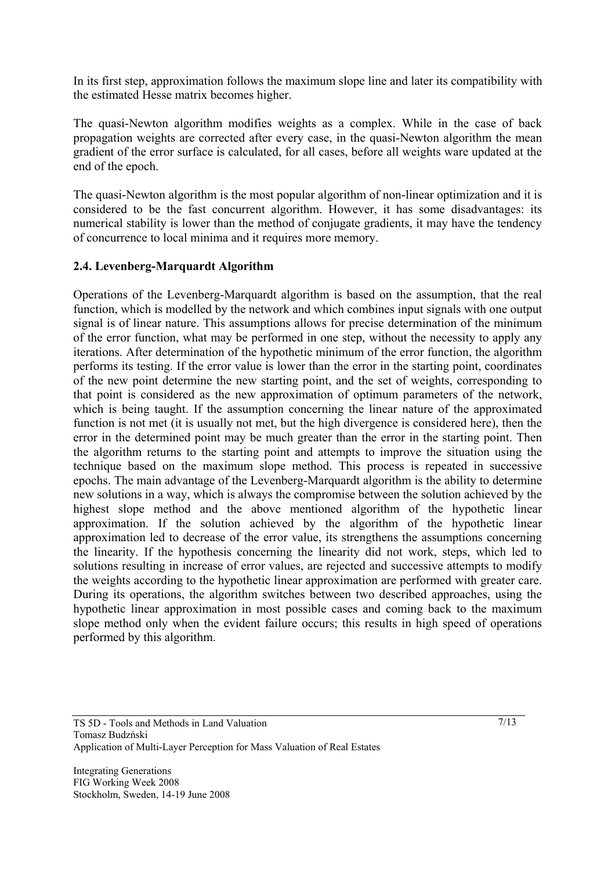In its first step, approximation follows the maximum slope line and later its compatibility with the estimated Hesse matrix becomes higher.

The quasi-Newton algorithm modifies weights as a complex. While in the case of back propagation weights are corrected after every case, in the quasi-Newton algorithm the mean gradient of the error surface is calculated, for all cases, before all weights ware updated at the end of the epoch.

The quasi-Newton algorithm is the most popular algorithm of non-linear optimization and it is considered to be the fast concurrent algorithm. However, it has some disadvantages: its numerical stability is lower than the method of conjugate gradients, it may have the tendency of concurrence to local minima and it requires more memory.

# **2.4. Levenberg-Marquardt Algorithm**

Operations of the Levenberg-Marquardt algorithm is based on the assumption, that the real function, which is modelled by the network and which combines input signals with one output signal is of linear nature. This assumptions allows for precise determination of the minimum of the error function, what may be performed in one step, without the necessity to apply any iterations. After determination of the hypothetic minimum of the error function, the algorithm performs its testing. If the error value is lower than the error in the starting point, coordinates of the new point determine the new starting point, and the set of weights, corresponding to that point is considered as the new approximation of optimum parameters of the network, which is being taught. If the assumption concerning the linear nature of the approximated function is not met (it is usually not met, but the high divergence is considered here), then the error in the determined point may be much greater than the error in the starting point. Then the algorithm returns to the starting point and attempts to improve the situation using the technique based on the maximum slope method. This process is repeated in successive epochs. The main advantage of the Levenberg-Marquardt algorithm is the ability to determine new solutions in a way, which is always the compromise between the solution achieved by the highest slope method and the above mentioned algorithm of the hypothetic linear approximation. If the solution achieved by the algorithm of the hypothetic linear approximation led to decrease of the error value, its strengthens the assumptions concerning the linearity. If the hypothesis concerning the linearity did not work, steps, which led to solutions resulting in increase of error values, are rejected and successive attempts to modify the weights according to the hypothetic linear approximation are performed with greater care. During its operations, the algorithm switches between two described approaches, using the hypothetic linear approximation in most possible cases and coming back to the maximum slope method only when the evident failure occurs; this results in high speed of operations performed by this algorithm.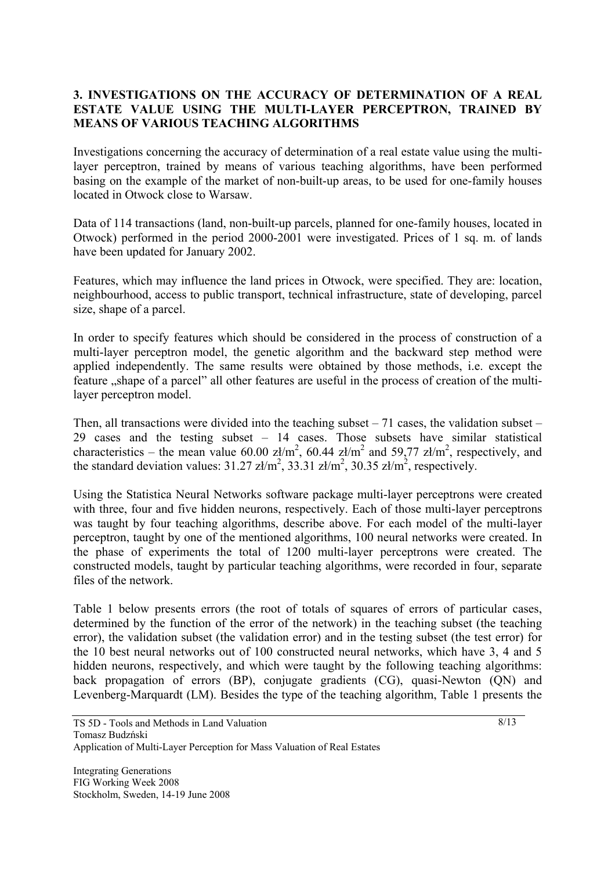#### **3. INVESTIGATIONS ON THE ACCURACY OF DETERMINATION OF A REAL ESTATE VALUE USING THE MULTI-LAYER PERCEPTRON, TRAINED BY MEANS OF VARIOUS TEACHING ALGORITHMS**

Investigations concerning the accuracy of determination of a real estate value using the multilayer perceptron, trained by means of various teaching algorithms, have been performed basing on the example of the market of non-built-up areas, to be used for one-family houses located in Otwock close to Warsaw.

Data of 114 transactions (land, non-built-up parcels, planned for one-family houses, located in Otwock) performed in the period 2000-2001 were investigated. Prices of 1 sq. m. of lands have been updated for January 2002.

Features, which may influence the land prices in Otwock, were specified. They are: location, neighbourhood, access to public transport, technical infrastructure, state of developing, parcel size, shape of a parcel.

In order to specify features which should be considered in the process of construction of a multi-layer perceptron model, the genetic algorithm and the backward step method were applied independently. The same results were obtained by those methods, i.e. except the feature , shape of a parcel" all other features are useful in the process of creation of the multilayer perceptron model.

Then, all transactions were divided into the teaching subset  $-71$  cases, the validation subset  $-$ 29 cases and the testing subset – 14 cases. Those subsets have similar statistical characteristics – the mean value 60.00 zł/m<sup>2</sup>, 60.44 zł/m<sup>2</sup> and 59,77 zł/m<sup>2</sup>, respectively, and the standard deviation values:  $31.27 \text{ zt/m}^2$ ,  $33.31 \text{ zt/m}^2$ ,  $30.35 \text{ zt/m}^2$ , respectively.

Using the Statistica Neural Networks software package multi-layer perceptrons were created with three, four and five hidden neurons, respectively. Each of those multi-layer perceptrons was taught by four teaching algorithms, describe above. For each model of the multi-layer perceptron, taught by one of the mentioned algorithms, 100 neural networks were created. In the phase of experiments the total of 1200 multi-layer perceptrons were created. The constructed models, taught by particular teaching algorithms, were recorded in four, separate files of the network.

Table 1 below presents errors (the root of totals of squares of errors of particular cases, determined by the function of the error of the network) in the teaching subset (the teaching error), the validation subset (the validation error) and in the testing subset (the test error) for the 10 best neural networks out of 100 constructed neural networks, which have 3, 4 and 5 hidden neurons, respectively, and which were taught by the following teaching algorithms: back propagation of errors (BP), conjugate gradients (CG), quasi-Newton (QN) and Levenberg-Marquardt (LM). Besides the type of the teaching algorithm, Table 1 presents the

TS 5D - Tools and Methods in Land Valuation Tomasz Budzński

Application of Multi-Layer Perception for Mass Valuation of Real Estates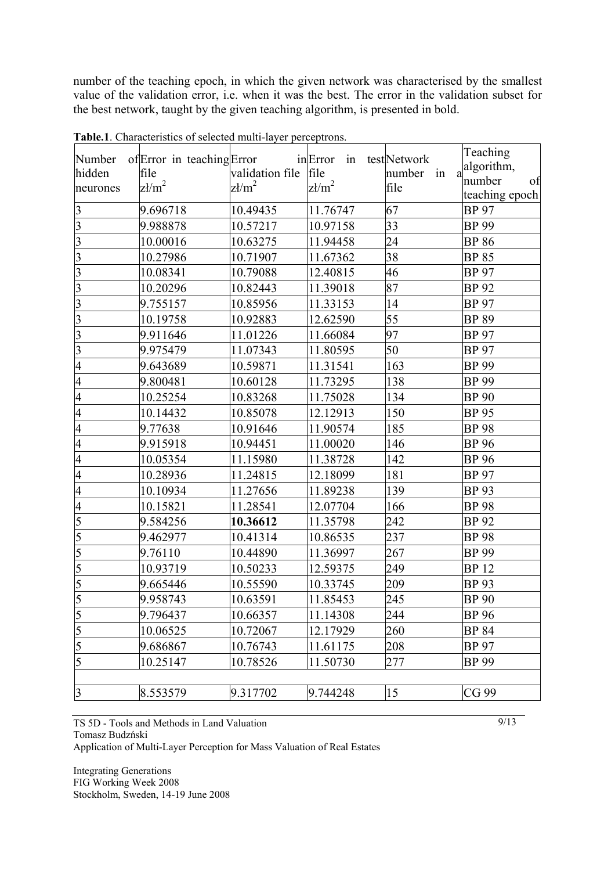number of the teaching epoch, in which the given network was characterised by the smallest value of the validation error, i.e. when it was the best. The error in the validation subset for the best network, taught by the given teaching algorithm, is presented in bold.

|                         |                            |                      |                 |                | Teaching                |
|-------------------------|----------------------------|----------------------|-----------------|----------------|-------------------------|
| Number                  | of Error in teaching Error |                      | inError<br>in   | testNetwork    | algorithm,              |
| hidden                  | file                       | validation file file |                 | number in<br>a | number<br>of            |
| neurones                | $z/m^2$                    | $z/m^2$              | $\text{z1/m}^2$ | file           | teaching epoch          |
| $\overline{\mathbf{3}}$ | 9.696718                   | 10.49435             | 11.76747        | 67             | <b>BP</b> 97            |
| $\overline{3}$          | 9.988878                   | 10.57217             | 10.97158        | 33             | <b>BP</b> 99            |
| $\overline{3}$          | 10.00016                   | 10.63275             | 11.94458        | 24             | <b>BP 86</b>            |
| $\overline{3}$          | 10.27986                   | 10.71907             | 11.67362        | 38             | <b>BP 85</b>            |
| $\overline{3}$          | 10.08341                   | 10.79088             | 12.40815        | 46             | <b>BP</b> 97            |
| $\overline{3}$          | 10.20296                   | 10.82443             | 11.39018        | 87             | <b>BP</b> 92            |
| $\overline{3}$          | 9.755157                   | 10.85956             | 11.33153        | 14             | <b>BP</b> 97            |
| $\overline{3}$          | 10.19758                   | 10.92883             | 12.62590        | 55             | <b>BP 89</b>            |
| $\overline{3}$          | 9.911646                   | 11.01226             | 11.66084        | 97             | <b>BP</b> 97            |
| $\overline{3}$          | 9.975479                   | 11.07343             | 11.80595        | 50             | <b>BP</b> 97            |
| $\overline{4}$          | 9.643689                   | 10.59871             | 11.31541        | 163            | <b>BP</b> 99            |
| $\overline{4}$          | 9.800481                   | 10.60128             | 11.73295        | 138            | <b>BP</b> 99            |
| $\overline{4}$          | 10.25254                   | 10.83268             | 11.75028        | 134            | <b>BP</b> 90            |
| $\overline{4}$          | 10.14432                   | 10.85078             | 12.12913        | 150            | <b>BP</b> 95            |
| $\overline{4}$          | 9.77638                    | 10.91646             | 11.90574        | 185            | <b>BP</b> <sub>98</sub> |
| $\overline{4}$          | 9.915918                   | 10.94451             | 11.00020        | 146            | <b>BP</b> <sub>96</sub> |
| $\overline{4}$          | 10.05354                   | 11.15980             | 11.38728        | 142            | <b>BP</b> <sub>96</sub> |
| 4                       | 10.28936                   | 11.24815             | 12.18099        | 181            | <b>BP</b> 97            |
| $\overline{4}$          | 10.10934                   | 11.27656             | 11.89238        | 139            | <b>BP</b> <sub>93</sub> |
| $\overline{4}$          | 10.15821                   | 11.28541             | 12.07704        | 166            | <b>BP</b> <sub>98</sub> |
| 5                       | 9.584256                   | 10.36612             | 11.35798        | 242            | <b>BP</b> <sub>92</sub> |
| $\overline{5}$          | 9.462977                   | 10.41314             | 10.86535        | 237            | <b>BP</b> 98            |
| 5                       | 9.76110                    | 10.44890             | 11.36997        | 267            | <b>BP</b> 99            |
| 5                       | 10.93719                   | 10.50233             | 12.59375        | 249            | <b>BP</b> 12            |
| $rac{5}{5}$             | 9.665446                   | 10.55590             | 10.33745        | 209            | <b>BP</b> <sub>93</sub> |
|                         | 9.958743                   | 10.63591             | 11.85453        | 245            | <b>BP</b> <sub>90</sub> |
|                         | 9.796437                   | 10.66357             | 11.14308        | 244            | <b>BP</b> <sub>96</sub> |
| $\frac{5}{5}$           | 10.06525                   | 10.72067             | 12.17929        | 260            | <b>BP 84</b>            |
| $\overline{5}$          | 9.686867                   | 10.76743             | 11.61175        | 208            | <b>BP</b> 97            |
| $\overline{5}$          | 10.25147                   | 10.78526             | 11.50730        | 277            | <b>BP</b> 99            |
|                         |                            |                      |                 |                |                         |
| $\overline{3}$          | 8.553579                   | 9.317702             | 9.744248        | 15             | CG 99                   |

**Table.1**. Characteristics of selected multi-layer perceptrons.

TS 5D - Tools and Methods in Land Valuation Tomasz Budzński

Application of Multi-Layer Perception for Mass Valuation of Real Estates

Integrating Generations FIG Working Week 2008 Stockholm, Sweden, 14-19 June 2008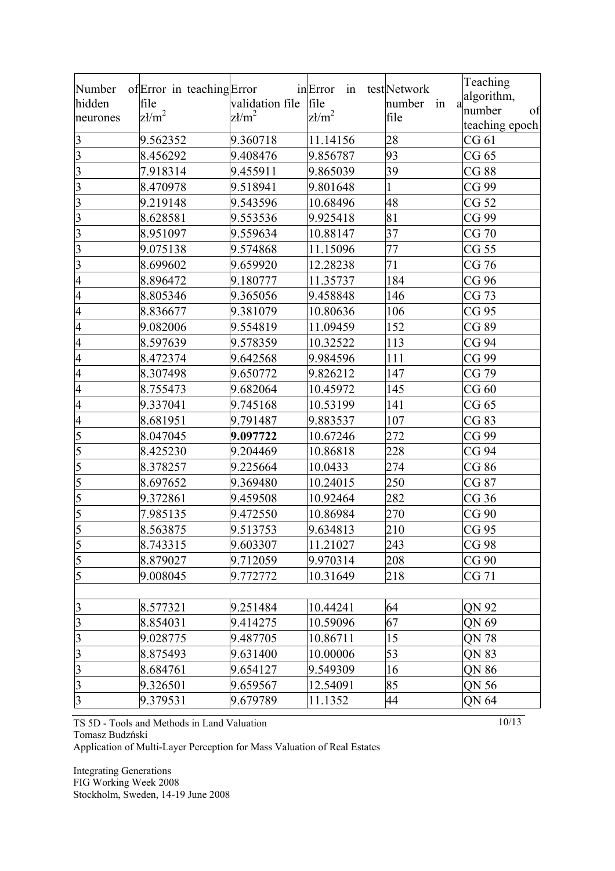| Number                  | of Error in teaching Error |                 | in Error<br>in | testNetwork       | Teaching       |
|-------------------------|----------------------------|-----------------|----------------|-------------------|----------------|
| hidden                  | file                       | validation file | file           | number<br>in<br>a | algorithm,     |
| neurones                | $z/m^2$                    | $\text{z1/m}^2$ | $z/m^2$        | file              | number<br>of   |
|                         |                            |                 |                |                   | teaching epoch |
| $\overline{\mathbf{3}}$ | 9.562352                   | 9.360718        | 11.14156       | 28                | CG 61          |
| $\overline{3}$          | 8.456292                   | 9.408476        | 9.856787       | 93                | CG 65          |
| 3                       | 7.918314                   | 9.455911        | 9.865039       | 39                | CG 88          |
| 3                       | 8.470978                   | 9.518941        | 9.801648       |                   | CG 99          |
| 3                       | 9.219148                   | 9.543596        | 10.68496       | 48                | CG 52          |
| 3                       | 8.628581                   | 9.553536        | 9.925418       | 81                | CG 99          |
| 3                       | 8.951097                   | 9.559634        | 10.88147       | 37                | CG 70          |
| 3                       | 9.075138                   | 9.574868        | 11.15096       | 77                | CG 55          |
| $\overline{\mathbf{3}}$ | 8.699602                   | 9.659920        | 12.28238       | 71                | CG 76          |
| $\overline{4}$          | 8.896472                   | 9.180777        | 11.35737       | 184               | CG 96          |
| $\overline{4}$          | 8.805346                   | 9.365056        | 9.458848       | 146               | CG 73          |
| $\overline{4}$          | 8.836677                   | 9.381079        | 10.80636       | 106               | CG 95          |
| $\overline{4}$          | 9.082006                   | 9.554819        | 11.09459       | 152               | CG 89          |
| $\overline{4}$          | 8.597639                   | 9.578359        | 10.32522       | 113               | CG 94          |
| $\overline{4}$          | 8.472374                   | 9.642568        | 9.984596       | 111               | CG 99          |
| $\overline{4}$          | 8.307498                   | 9.650772        | 9.826212       | 147               | CG 79          |
| $\overline{4}$          | 8.755473                   | 9.682064        | 10.45972       | 145               | CG60           |
| $\overline{4}$          | 9.337041                   | 9.745168        | 10.53199       | 141               | CG 65          |
| $\overline{4}$          | 8.681951                   | 9.791487        | 9.883537       | 107               | CG 83          |
| 5                       | 8.047045                   | 9.097722        | 10.67246       | 272               | CG 99          |
| 5                       | 8.425230                   | 9.204469        | 10.86818       | 228               | CG 94          |
| 5                       | 8.378257                   | 9.225664        | 10.0433        | 274               | CG 86          |
| 5                       | 8.697652                   | 9.369480        | 10.24015       | 250               | CG 87          |
| 5                       | 9.372861                   | 9.459508        | 10.92464       | 282               | CG36           |
| $5\overline{)}$         | 7.985135                   | 9.472550        | 10.86984       | 270               | CG 90          |
| $\overline{5}$          | 8.563875                   | 9.513753        | 9.634813       | 210               | CG 95          |
| 5                       | 8.743315                   | 9.603307        | 11.21027       | 243               | CG 98          |
| $\overline{5}$          | 8.879027                   | 9.712059        | 9.970314       | 208               | CG 90          |
| 5                       | 9.008045                   | 9.772772        | 10.31649       | 218               | CG 71          |
|                         |                            |                 |                |                   |                |
| $\overline{\mathbf{3}}$ | 8.577321                   | 9.251484        | 10.44241       | 64                | QN 92          |
| 3                       | 8.854031                   | 9.414275        | 10.59096       | 67                | QN 69          |
| $\overline{\mathbf{3}}$ | 9.028775                   | 9.487705        | 10.86711       | 15                | QN 78          |
| $\overline{\mathbf{3}}$ | 8.875493                   | 9.631400        | 10.00006       | 53                | QN 83          |
| $\overline{3}$          | 8.684761                   | 9.654127        | 9.549309       | 16                | QN 86          |
| 3                       | 9.326501                   | 9.659567        | 12.54091       | 85                | QN 56          |
| $\overline{\mathbf{3}}$ | 9.379531                   | 9.679789        | 11.1352        | 44                | QN 64          |
|                         |                            |                 |                |                   |                |

TS 5D - Tools and Methods in Land Valuation Tomasz Budzński

Application of Multi-Layer Perception for Mass Valuation of Real Estates

Integrating Generations FIG Working Week 2008 Stockholm, Sweden, 14-19 June 2008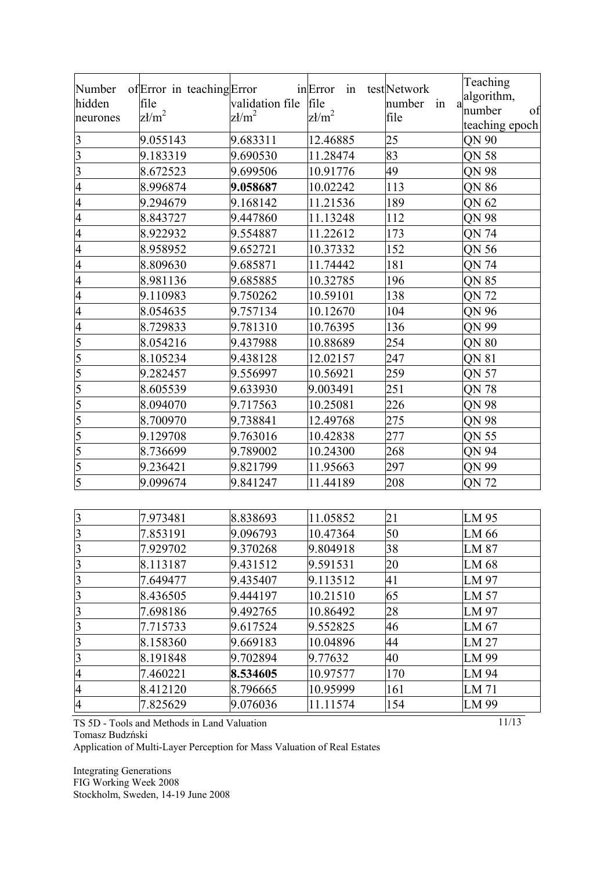| Number<br>hidden<br>neurones | of Error in teaching Error<br>file<br>$z/m^2$ | validation file<br>$z/m^2$ | inError<br>in<br>file<br>$\text{z}\mathit{k}/\text{m}^2$ | testNetwork<br>number in<br>a<br>file | Teaching<br>algorithm,<br>number<br>of<br>teaching epoch |
|------------------------------|-----------------------------------------------|----------------------------|----------------------------------------------------------|---------------------------------------|----------------------------------------------------------|
| $\overline{\mathbf{3}}$      | 9.055143                                      | 9.683311                   | 12.46885                                                 | 25                                    | QN 90                                                    |
| $\overline{\mathbf{3}}$      | 9.183319                                      | 9.690530                   | 11.28474                                                 | 83                                    | QN 58                                                    |
| $\overline{\mathbf{3}}$      | 8.672523                                      | 9.699506                   | 10.91776                                                 | 49                                    | QN 98                                                    |
| 4                            | 8.996874                                      | 9.058687                   | 10.02242                                                 | 113                                   | QN 86                                                    |
| $\overline{4}$               | 9.294679                                      | 9.168142                   | 11.21536                                                 | 189                                   | QN 62                                                    |
| 4                            | 8.843727                                      | 9.447860                   | 11.13248                                                 | 112                                   | QN 98                                                    |
| 4                            | 8.922932                                      | 9.554887                   | 11.22612                                                 | 173                                   | QN 74                                                    |
| 4                            | 8.958952                                      | 9.652721                   | 10.37332                                                 | 152                                   | QN 56                                                    |
| 4                            | 8.809630                                      | 9.685871                   | 11.74442                                                 | 181                                   | QN 74                                                    |
| 4                            | 8.981136                                      | 9.685885                   | 10.32785                                                 | 196                                   | <b>QN 85</b>                                             |
| 4                            | 9.110983                                      | 9.750262                   | 10.59101                                                 | 138                                   | QN 72                                                    |
| 4                            | 8.054635                                      | 9.757134                   | 10.12670                                                 | 104                                   | QN 96                                                    |
| 4                            | 8.729833                                      | 9.781310                   | 10.76395                                                 | 136                                   | QN 99                                                    |
| 5                            | 8.054216                                      | 9.437988                   | 10.88689                                                 | 254                                   | QN 80                                                    |
| 5                            | 8.105234                                      | 9.438128                   | 12.02157                                                 | 247                                   | QN 81                                                    |
| $\overline{5}$               | 9.282457                                      | 9.556997                   | 10.56921                                                 | 259                                   | QN 57                                                    |
| $\overline{5}$               | 8.605539                                      | 9.633930                   | 9.003491                                                 | 251                                   | QN 78                                                    |
| $\overline{5}$               | 8.094070                                      | 9.717563                   | 10.25081                                                 | 226                                   | QN 98                                                    |
| 5                            | 8.700970                                      | 9.738841                   | 12.49768                                                 | 275                                   | QN 98                                                    |
|                              | 9.129708                                      | 9.763016                   | 10.42838                                                 | 277                                   | QN 55                                                    |
| $\frac{5}{5}$ $\frac{5}{5}$  | 8.736699                                      | 9.789002                   | 10.24300                                                 | 268                                   | QN 94                                                    |
|                              | 9.236421                                      | 9.821799                   | 11.95663                                                 | 297                                   | QN 99                                                    |
|                              | 9.099674                                      | 9.841247                   | 11.44189                                                 | 208                                   | QN 72                                                    |
|                              |                                               |                            |                                                          |                                       |                                                          |
|                              | 7.973481                                      | 8.838693                   | 11.05852                                                 | 21                                    | LM 95                                                    |
| $\frac{3}{3}$                | 7.853191                                      | 9.096793                   | 10.47364                                                 | 50                                    | LM 66                                                    |
| $\overline{\mathbf{3}}$      | 7.929702                                      | 9.370268                   | 9.804918                                                 | 38                                    | LM 87                                                    |
| $\overline{\mathbf{3}}$      | 8.113187                                      | 9.431512                   | 9.591531                                                 | 20                                    | LM 68                                                    |
| $\overline{3}$               | 7.649477                                      | 9.435407                   | 9.113512                                                 | 41                                    | LM 97                                                    |
| $\overline{3}$               | 8.436505                                      | 9.444197                   | 10.21510                                                 | 65                                    | LM 57                                                    |
| $\overline{\mathbf{3}}$      | 7.698186                                      | 9.492765                   | 10.86492                                                 | 28                                    | LM 97                                                    |
| $\overline{\mathbf{3}}$      | 7.715733                                      | 9.617524                   | 9.552825                                                 | 46                                    | LM 67                                                    |
| $\overline{\mathbf{3}}$      | 8.158360                                      | 9.669183                   | 10.04896                                                 | 44                                    | LM 27                                                    |
| $\overline{\mathbf{3}}$      | 8.191848                                      | 9.702894                   | 9.77632                                                  | 40                                    | LM 99                                                    |
| $\overline{4}$               | 7.460221                                      | 8.534605                   | 10.97577                                                 | 170                                   | LM 94                                                    |
| $\overline{4}$               | 8.412120                                      | 8.796665                   | 10.95999                                                 | 161                                   | LM 71                                                    |
| $\overline{4}$               | 7.825629                                      | 9.076036                   | 11.11574                                                 | 154                                   | LM 99                                                    |

TS 5D - Tools and Methods in Land Valuation

Tomasz Budzński

Application of Multi-Layer Perception for Mass Valuation of Real Estates

Integrating Generations FIG Working Week 2008 Stockholm, Sweden, 14-19 June 2008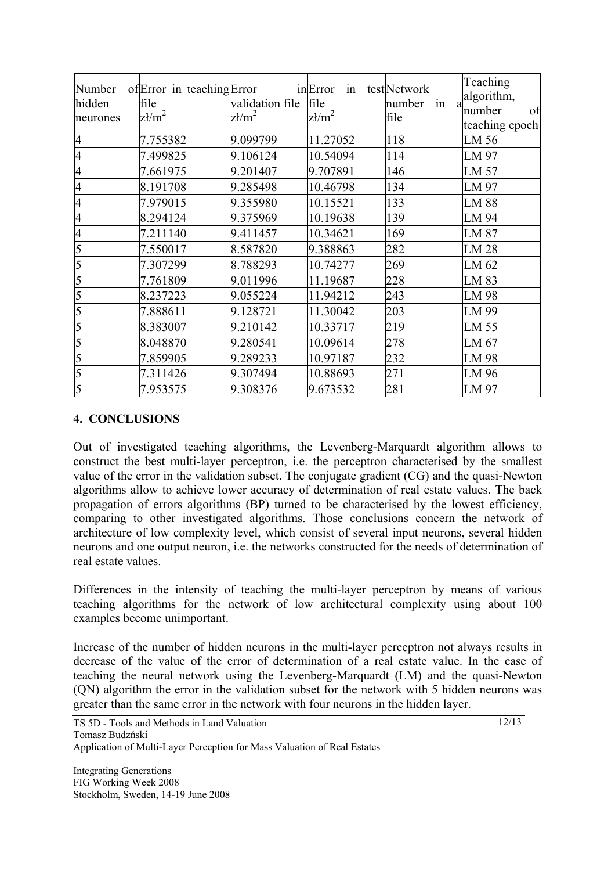| Number<br>hidden<br>neurones | of Error in teaching Error<br>file<br>$z/m^2$ | validation file<br>$\text{z}\mathit{k}/\text{m}^2$ | in Error<br>in<br>file<br>$z \frac{1}{m^2}$ | testNetwork<br>number<br>in<br>file | Teaching<br>algorithm,<br>number<br>of<br>teaching epoch |
|------------------------------|-----------------------------------------------|----------------------------------------------------|---------------------------------------------|-------------------------------------|----------------------------------------------------------|
| $\overline{4}$               | 7.755382                                      | 9.099799                                           | 11.27052                                    | 118                                 | LM 56                                                    |
| $\overline{4}$               | 7.499825                                      | 9.106124                                           | 10.54094                                    | 114                                 | LM 97                                                    |
| $\overline{4}$               | 7.661975                                      | 9.201407                                           | 9.707891                                    | 146                                 | LM 57                                                    |
| $\overline{4}$               | 8.191708                                      | 9.285498                                           | 10.46798                                    | 134                                 | LM 97                                                    |
| 4                            | 7.979015                                      | 9.355980                                           | 10.15521                                    | 133                                 | <b>LM 88</b>                                             |
| 4                            | 8.294124                                      | 9.375969                                           | 10.19638                                    | 139                                 | LM 94                                                    |
| 4                            | 7.211140                                      | 9.411457                                           | 10.34621                                    | 169                                 | LM 87                                                    |
| 5                            | 7.550017                                      | 8.587820                                           | 9.388863                                    | 282                                 | LM 28                                                    |
| 5                            | 7.307299                                      | 8.788293                                           | 10.74277                                    | 269                                 | LM 62                                                    |
| 5                            | 7.761809                                      | 9.011996                                           | 11.19687                                    | 228                                 | LM 83                                                    |
| 5                            | 8.237223                                      | 9.055224                                           | 11.94212                                    | 243                                 | LM 98                                                    |
| 5                            | 7.888611                                      | 9.128721                                           | 11.30042                                    | 203                                 | LM 99                                                    |
| 5                            | 8.383007                                      | 9.210142                                           | 10.33717                                    | 219                                 | LM 55                                                    |
| 5                            | 8.048870                                      | 9.280541                                           | 10.09614                                    | 278                                 | LM 67                                                    |
| 5                            | 7.859905                                      | 9.289233                                           | 10.97187                                    | 232                                 | LM 98                                                    |
| 5                            | 7.311426                                      | 9.307494                                           | 10.88693                                    | 271                                 | LM 96                                                    |
| 5                            | 7.953575                                      | 9.308376                                           | 9.673532                                    | 281                                 | LM 97                                                    |

# **4. CONCLUSIONS**

Out of investigated teaching algorithms, the Levenberg-Marquardt algorithm allows to construct the best multi-layer perceptron, i.e. the perceptron characterised by the smallest value of the error in the validation subset. The conjugate gradient (CG) and the quasi-Newton algorithms allow to achieve lower accuracy of determination of real estate values. The back propagation of errors algorithms (BP) turned to be characterised by the lowest efficiency, comparing to other investigated algorithms. Those conclusions concern the network of architecture of low complexity level, which consist of several input neurons, several hidden neurons and one output neuron, i.e. the networks constructed for the needs of determination of real estate values.

Differences in the intensity of teaching the multi-layer perceptron by means of various teaching algorithms for the network of low architectural complexity using about 100 examples become unimportant.

Increase of the number of hidden neurons in the multi-layer perceptron not always results in decrease of the value of the error of determination of a real estate value. In the case of teaching the neural network using the Levenberg-Marquardt (LM) and the quasi-Newton (QN) algorithm the error in the validation subset for the network with 5 hidden neurons was greater than the same error in the network with four neurons in the hidden layer.